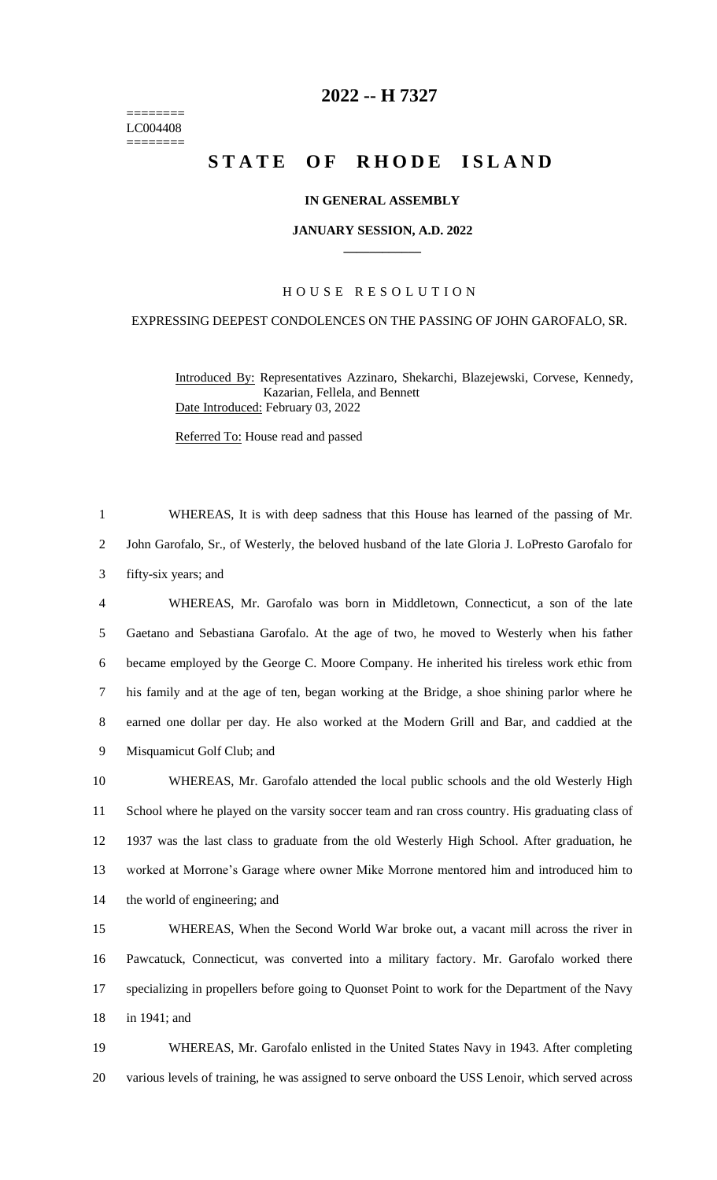======== LC004408 ========

## **-- H 7327**

# STATE OF RHODE ISLAND

#### **IN GENERAL ASSEMBLY**

#### **JANUARY SESSION, A.D. 2022 \_\_\_\_\_\_\_\_\_\_\_\_**

### H O U S E R E S O L U T I O N

## EXPRESSING DEEPEST CONDOLENCES ON THE PASSING OF JOHN GAROFALO, SR.

Introduced By: Representatives Azzinaro, Shekarchi, Blazejewski, Corvese, Kennedy, Kazarian, Fellela, and Bennett Date Introduced: February 03, 2022

Referred To: House read and passed

 WHEREAS, It is with deep sadness that this House has learned of the passing of Mr. John Garofalo, Sr., of Westerly, the beloved husband of the late Gloria J. LoPresto Garofalo for fifty-six years; and WHEREAS, Mr. Garofalo was born in Middletown, Connecticut, a son of the late Gaetano and Sebastiana Garofalo. At the age of two, he moved to Westerly when his father became employed by the George C. Moore Company. He inherited his tireless work ethic from his family and at the age of ten, began working at the Bridge, a shoe shining parlor where he earned one dollar per day. He also worked at the Modern Grill and Bar, and caddied at the Misquamicut Golf Club; and

 WHEREAS, Mr. Garofalo attended the local public schools and the old Westerly High School where he played on the varsity soccer team and ran cross country. His graduating class of 1937 was the last class to graduate from the old Westerly High School. After graduation, he worked at Morrone's Garage where owner Mike Morrone mentored him and introduced him to the world of engineering; and

 WHEREAS, When the Second World War broke out, a vacant mill across the river in Pawcatuck, Connecticut, was converted into a military factory. Mr. Garofalo worked there specializing in propellers before going to Quonset Point to work for the Department of the Navy in 1941; and

 WHEREAS, Mr. Garofalo enlisted in the United States Navy in 1943. After completing various levels of training, he was assigned to serve onboard the USS Lenoir, which served across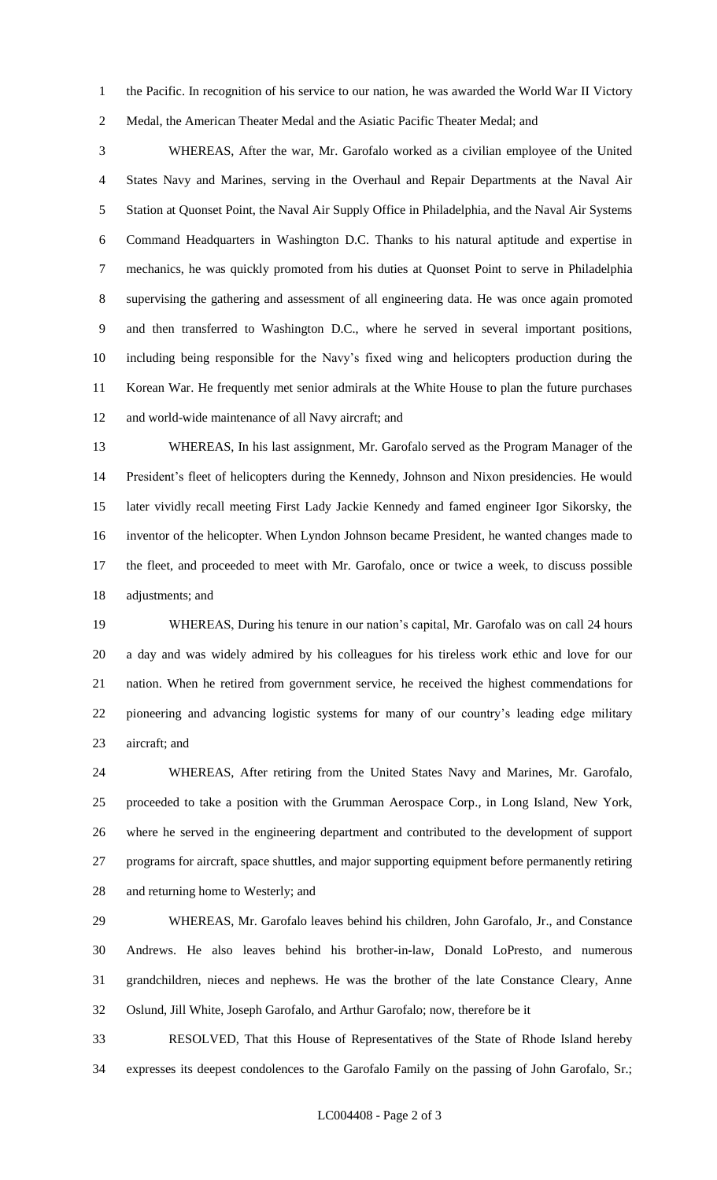the Pacific. In recognition of his service to our nation, he was awarded the World War II Victory Medal, the American Theater Medal and the Asiatic Pacific Theater Medal; and

 WHEREAS, After the war, Mr. Garofalo worked as a civilian employee of the United States Navy and Marines, serving in the Overhaul and Repair Departments at the Naval Air Station at Quonset Point, the Naval Air Supply Office in Philadelphia, and the Naval Air Systems Command Headquarters in Washington D.C. Thanks to his natural aptitude and expertise in mechanics, he was quickly promoted from his duties at Quonset Point to serve in Philadelphia supervising the gathering and assessment of all engineering data. He was once again promoted and then transferred to Washington D.C., where he served in several important positions, including being responsible for the Navy's fixed wing and helicopters production during the Korean War. He frequently met senior admirals at the White House to plan the future purchases and world-wide maintenance of all Navy aircraft; and

 WHEREAS, In his last assignment, Mr. Garofalo served as the Program Manager of the President's fleet of helicopters during the Kennedy, Johnson and Nixon presidencies. He would later vividly recall meeting First Lady Jackie Kennedy and famed engineer Igor Sikorsky, the inventor of the helicopter. When Lyndon Johnson became President, he wanted changes made to the fleet, and proceeded to meet with Mr. Garofalo, once or twice a week, to discuss possible adjustments; and

 WHEREAS, During his tenure in our nation's capital, Mr. Garofalo was on call 24 hours a day and was widely admired by his colleagues for his tireless work ethic and love for our nation. When he retired from government service, he received the highest commendations for pioneering and advancing logistic systems for many of our country's leading edge military aircraft; and

 WHEREAS, After retiring from the United States Navy and Marines, Mr. Garofalo, proceeded to take a position with the Grumman Aerospace Corp., in Long Island, New York, where he served in the engineering department and contributed to the development of support programs for aircraft, space shuttles, and major supporting equipment before permanently retiring and returning home to Westerly; and

 WHEREAS, Mr. Garofalo leaves behind his children, John Garofalo, Jr., and Constance Andrews. He also leaves behind his brother-in-law, Donald LoPresto, and numerous grandchildren, nieces and nephews. He was the brother of the late Constance Cleary, Anne Oslund, Jill White, Joseph Garofalo, and Arthur Garofalo; now, therefore be it

 RESOLVED, That this House of Representatives of the State of Rhode Island hereby expresses its deepest condolences to the Garofalo Family on the passing of John Garofalo, Sr.;